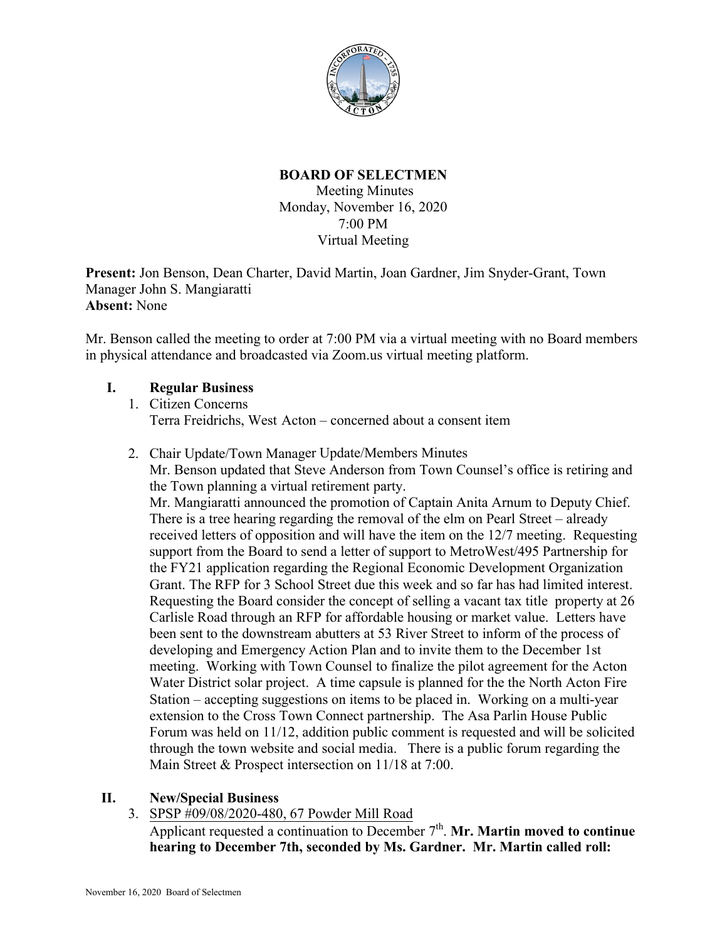

## **BOARD OF SELECTMEN**

Meeting Minutes Monday, November 16, 2020 7:00 PM Virtual Meeting

**Present:** Jon Benson, Dean Charter, David Martin, Joan Gardner, Jim Snyder-Grant, Town Manager John S. Mangiaratti **Absent:** None

Mr. Benson called the meeting to order at 7:00 PM via a virtual meeting with no Board members in physical attendance and broadcasted via Zoom.us virtual meeting platform.

#### **I. Regular Business**

- 1. Citizen Concerns Terra Freidrichs, West Acton – concerned about a consent item
	- 2. Chair Update/Town Manager Update/Members Minutes

Mr. Benson updated that Steve Anderson from Town Counsel's office is retiring and the Town planning a virtual retirement party.

Mr. Mangiaratti announced the promotion of Captain Anita Arnum to Deputy Chief. There is a tree hearing regarding the removal of the elm on Pearl Street – already received letters of opposition and will have the item on the 12/7 meeting. Requesting support from the Board to send a letter of support to MetroWest/495 Partnership for the FY21 application regarding the Regional Economic Development Organization Grant. The RFP for 3 School Street due this week and so far has had limited interest. Requesting the Board consider the concept of selling a vacant tax title property at 26 Carlisle Road through an RFP for affordable housing or market value. Letters have been sent to the downstream abutters at 53 River Street to inform of the process of developing and Emergency Action Plan and to invite them to the December 1st meeting. Working with Town Counsel to finalize the pilot agreement for the Acton Water District solar project. A time capsule is planned for the the North Acton Fire Station – accepting suggestions on items to be placed in. Working on a multi-year extension to the Cross Town Connect partnership. The Asa Parlin House Public Forum was held on 11/12, addition public comment is requested and will be solicited through the town website and social media. There is a public forum regarding the Main Street & Prospect intersection on 11/18 at 7:00.

## **II. New/Special Business**

3. SPSP #09/08/2020-480, 67 Powder Mill Road

Applicant requested a continuation to December 7<sup>th</sup>. Mr. Martin moved to continue **hearing to December 7th, seconded by Ms. Gardner. Mr. Martin called roll:**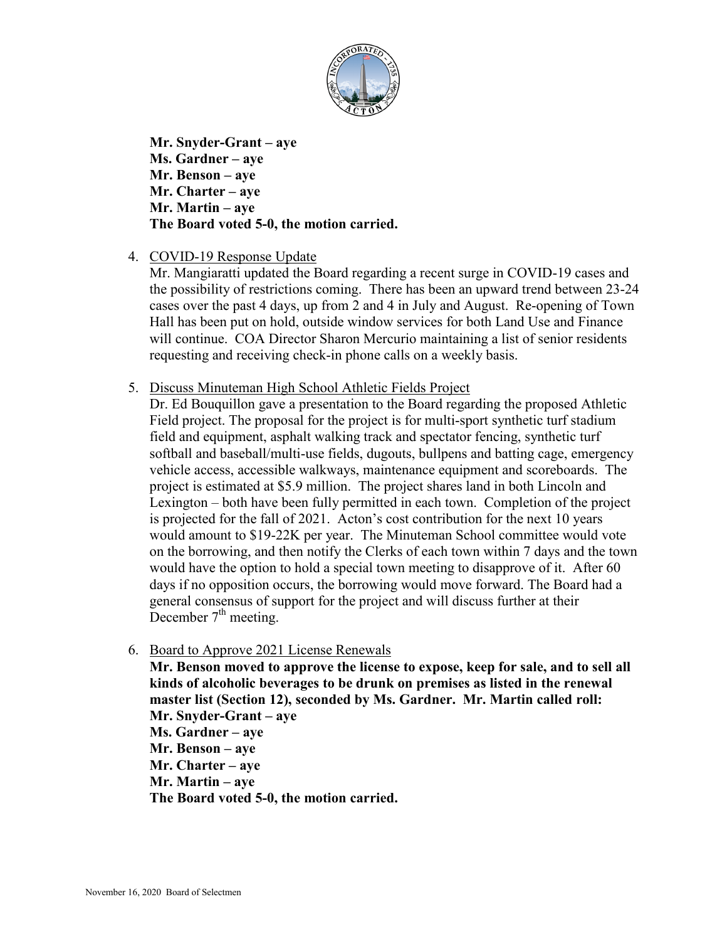

**Mr. Snyder-Grant – aye Ms. Gardner – aye Mr. Benson – aye Mr. Charter – aye Mr. Martin – aye The Board voted 5-0, the motion carried.**

## 4. COVID-19 Response Update

Mr. Mangiaratti updated the Board regarding a recent surge in COVID-19 cases and the possibility of restrictions coming. There has been an upward trend between 23-24 cases over the past 4 days, up from 2 and 4 in July and August. Re-opening of Town Hall has been put on hold, outside window services for both Land Use and Finance will continue. COA Director Sharon Mercurio maintaining a list of senior residents requesting and receiving check-in phone calls on a weekly basis.

- 5. Discuss Minuteman High School Athletic Fields Project
	- Dr. Ed Bouquillon gave a presentation to the Board regarding the proposed Athletic Field project. The proposal for the project is for multi-sport synthetic turf stadium field and equipment, asphalt walking track and spectator fencing, synthetic turf softball and baseball/multi-use fields, dugouts, bullpens and batting cage, emergency vehicle access, accessible walkways, maintenance equipment and scoreboards. The project is estimated at \$5.9 million. The project shares land in both Lincoln and Lexington – both have been fully permitted in each town. Completion of the project is projected for the fall of 2021. Acton's cost contribution for the next 10 years would amount to \$19-22K per year. The Minuteman School committee would vote on the borrowing, and then notify the Clerks of each town within 7 days and the town would have the option to hold a special town meeting to disapprove of it. After 60 days if no opposition occurs, the borrowing would move forward. The Board had a general consensus of support for the project and will discuss further at their December  $7<sup>th</sup>$  meeting.
- 6. Board to Approve 2021 License Renewals

**Mr. Benson moved to approve the license to expose, keep for sale, and to sell all kinds of alcoholic beverages to be drunk on premises as listed in the renewal master list (Section 12), seconded by Ms. Gardner. Mr. Martin called roll: Mr. Snyder-Grant – aye Ms. Gardner – aye Mr. Benson – aye Mr. Charter – aye Mr. Martin – aye The Board voted 5-0, the motion carried.**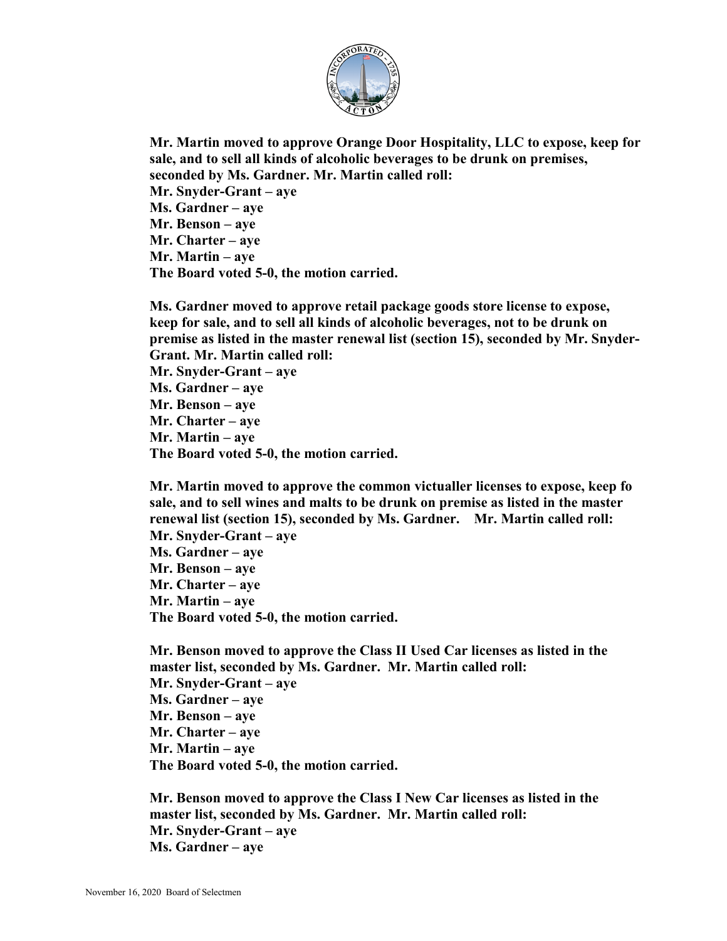

**Mr. Martin moved to approve Orange Door Hospitality, LLC to expose, keep for sale, and to sell all kinds of alcoholic beverages to be drunk on premises, seconded by Ms. Gardner. Mr. Martin called roll:**

**Mr. Snyder-Grant – aye Ms. Gardner – aye Mr. Benson – aye Mr. Charter – aye Mr. Martin – aye The Board voted 5-0, the motion carried.**

**Ms. Gardner moved to approve retail package goods store license to expose, keep for sale, and to sell all kinds of alcoholic beverages, not to be drunk on premise as listed in the master renewal list (section 15), seconded by Mr. Snyder-Grant. Mr. Martin called roll: Mr. Snyder-Grant – aye Ms. Gardner – aye Mr. Benson – aye Mr. Charter – aye Mr. Martin – aye The Board voted 5-0, the motion carried.**

**Mr. Martin moved to approve the common victualler licenses to expose, keep fo sale, and to sell wines and malts to be drunk on premise as listed in the master renewal list (section 15), seconded by Ms. Gardner. Mr. Martin called roll: Mr. Snyder-Grant – aye Ms. Gardner – aye Mr. Benson – aye Mr. Charter – aye Mr. Martin – aye The Board voted 5-0, the motion carried.**

**Mr. Benson moved to approve the Class II Used Car licenses as listed in the master list, seconded by Ms. Gardner. Mr. Martin called roll: Mr. Snyder-Grant – aye Ms. Gardner – aye Mr. Benson – aye Mr. Charter – aye Mr. Martin – aye The Board voted 5-0, the motion carried.**

**Mr. Benson moved to approve the Class I New Car licenses as listed in the master list, seconded by Ms. Gardner. Mr. Martin called roll: Mr. Snyder-Grant – aye Ms. Gardner – aye**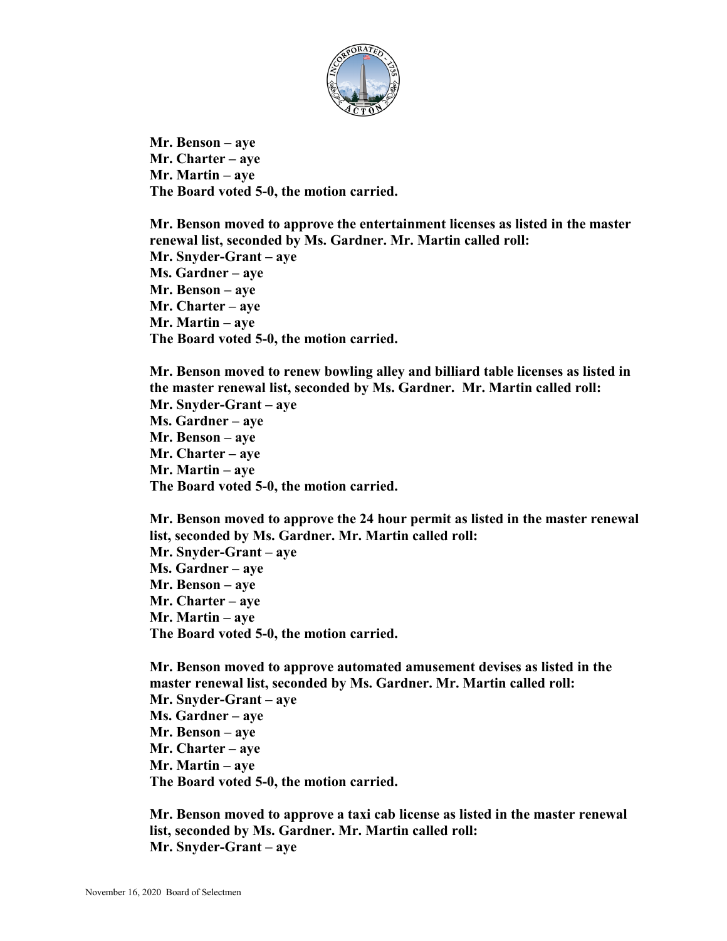

**Mr. Benson – aye Mr. Charter – aye Mr. Martin – aye The Board voted 5-0, the motion carried.**

**Mr. Benson moved to approve the entertainment licenses as listed in the master renewal list, seconded by Ms. Gardner. Mr. Martin called roll: Mr. Snyder-Grant – aye Ms. Gardner – aye Mr. Benson – aye Mr. Charter – aye Mr. Martin – aye The Board voted 5-0, the motion carried.**

**Mr. Benson moved to renew bowling alley and billiard table licenses as listed in the master renewal list, seconded by Ms. Gardner. Mr. Martin called roll: Mr. Snyder-Grant – aye Ms. Gardner – aye Mr. Benson – aye Mr. Charter – aye Mr. Martin – aye The Board voted 5-0, the motion carried.**

**Mr. Benson moved to approve the 24 hour permit as listed in the master renewal list, seconded by Ms. Gardner. Mr. Martin called roll: Mr. Snyder-Grant – aye Ms. Gardner – aye Mr. Benson – aye Mr. Charter – aye Mr. Martin – aye The Board voted 5-0, the motion carried.**

**Mr. Benson moved to approve automated amusement devises as listed in the master renewal list, seconded by Ms. Gardner. Mr. Martin called roll: Mr. Snyder-Grant – aye Ms. Gardner – aye Mr. Benson – aye Mr. Charter – aye Mr. Martin – aye The Board voted 5-0, the motion carried.**

**Mr. Benson moved to approve a taxi cab license as listed in the master renewal list, seconded by Ms. Gardner. Mr. Martin called roll: Mr. Snyder-Grant – aye**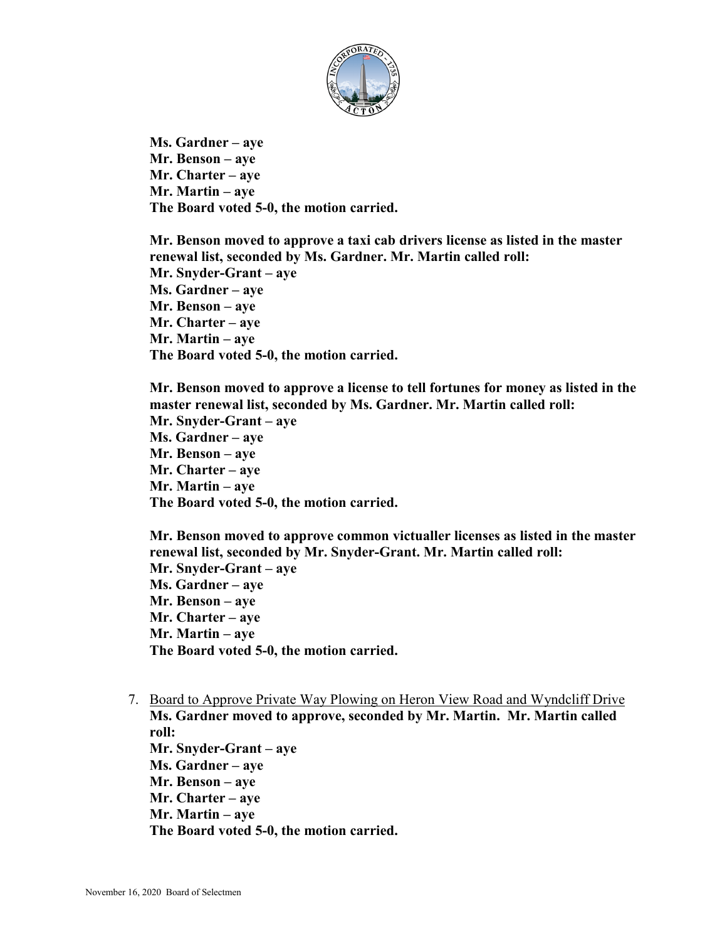

**Ms. Gardner – aye Mr. Benson – aye Mr. Charter – aye Mr. Martin – aye The Board voted 5-0, the motion carried.**

**Mr. Benson moved to approve a taxi cab drivers license as listed in the master renewal list, seconded by Ms. Gardner. Mr. Martin called roll: Mr. Snyder-Grant – aye Ms. Gardner – aye Mr. Benson – aye Mr. Charter – aye Mr. Martin – aye The Board voted 5-0, the motion carried.**

**Mr. Benson moved to approve a license to tell fortunes for money as listed in the master renewal list, seconded by Ms. Gardner. Mr. Martin called roll: Mr. Snyder-Grant – aye Ms. Gardner – aye Mr. Benson – aye Mr. Charter – aye Mr. Martin – aye The Board voted 5-0, the motion carried.**

**Mr. Benson moved to approve common victualler licenses as listed in the master renewal list, seconded by Mr. Snyder-Grant. Mr. Martin called roll: Mr. Snyder-Grant – aye Ms. Gardner – aye Mr. Benson – aye Mr. Charter – aye Mr. Martin – aye The Board voted 5-0, the motion carried.**

7. Board to Approve Private Way Plowing on Heron View Road and Wyndcliff Drive **Ms. Gardner moved to approve, seconded by Mr. Martin. Mr. Martin called roll: Mr. Snyder-Grant – aye Ms. Gardner – aye Mr. Benson – aye Mr. Charter – aye Mr. Martin – aye The Board voted 5-0, the motion carried.**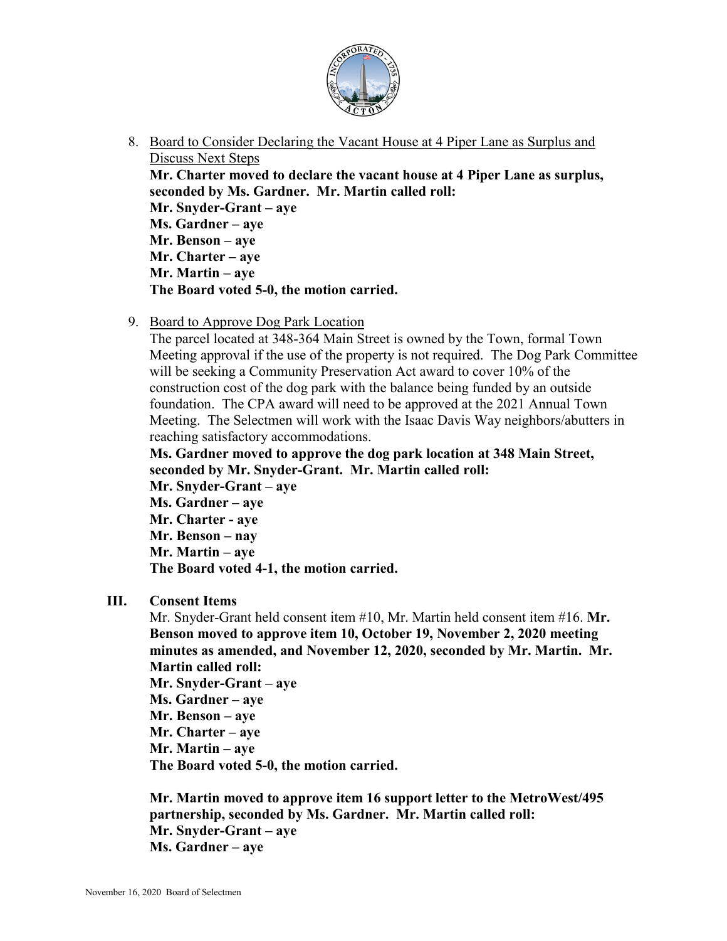

8. Board to Consider Declaring the Vacant House at 4 Piper Lane as Surplus and Discuss Next Steps

**Mr. Charter moved to declare the vacant house at 4 Piper Lane as surplus, seconded by Ms. Gardner. Mr. Martin called roll:**

**Mr. Snyder-Grant – aye Ms. Gardner – aye Mr. Benson – aye**

**Mr. Charter – aye**

**Mr. Martin – aye**

**The Board voted 5-0, the motion carried.**

9. Board to Approve Dog Park Location

The parcel located at 348-364 Main Street is owned by the Town, formal Town Meeting approval if the use of the property is not required. The Dog Park Committee will be seeking a Community Preservation Act award to cover 10% of the construction cost of the dog park with the balance being funded by an outside foundation. The CPA award will need to be approved at the 2021 Annual Town Meeting. The Selectmen will work with the Isaac Davis Way neighbors/abutters in reaching satisfactory accommodations.

**Ms. Gardner moved to approve the dog park location at 348 Main Street, seconded by Mr. Snyder-Grant. Mr. Martin called roll:**

**Mr. Snyder-Grant – aye Ms. Gardner – aye Mr. Charter - aye Mr. Benson – nay Mr. Martin – aye The Board voted 4-1, the motion carried.**

# **III. Consent Items**

Mr. Snyder-Grant held consent item #10, Mr. Martin held consent item #16. **Mr. Benson moved to approve item 10, October 19, November 2, 2020 meeting minutes as amended, and November 12, 2020, seconded by Mr. Martin. Mr. Martin called roll:**

**Mr. Snyder-Grant – aye Ms. Gardner – aye Mr. Benson – aye Mr. Charter – aye Mr. Martin – aye The Board voted 5-0, the motion carried.**

**Mr. Martin moved to approve item 16 support letter to the MetroWest/495 partnership, seconded by Ms. Gardner. Mr. Martin called roll: Mr. Snyder-Grant – aye Ms. Gardner – aye**